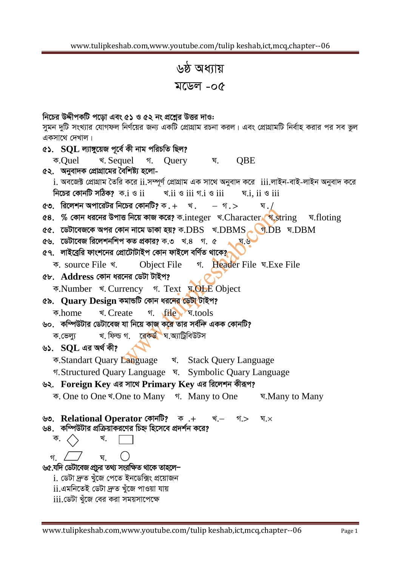৬ষ্ঠ অধ্যায় মডেল -০৫

নিচের উদ্দীপকটি পডো এবং ৫১ ও ৫২ নং প্রশ্নের উত্তর দাও: সুমন দুটি সংখ্যার যোগফল নির্ণয়ের জন্য একটি প্রোগ্রাম রচনা করল। এবং প্রোগ্রামটি নির্বাহ করার পর সব ভুল একসাথে দেখাল। ৫১.  $SOL$  ল্যাঙ্গুয়েজ পূৰ্বে কী নাম পরিচতি ছিল? क.Ouel খ. Sequel গ. Ouery **OBE घ**. ৫২. অনুবাদক প্রোগ্রামের বৈশিষ্ট্য হলো- $\,$ i. অবজেক্ট প্রোগ্রাম তৈরি করে  $\,$ ii.সম্পূর্ণ প্রোগ্রাম এক সাথে অনুবাদ করে  $\,$ iii.লাইন-বাই-লাইন অনুবাদ করে নিচের কোনটি সঠিক?  $\sigma$ . $i \circ ii$ ঘ.i, ii ও iii খ. $ii$  ও  $iii$  গ. $i$  ও  $iii$ ৫৩. রিলেশন অপারেটর নিচের কোনটি? ক. $+$  খ.  $-$  গ. $>$ ঘ  $\sqrt{2}$ ৫৪. % কোন ধরনের উপাত্ত নিয়ে কাজ করে? ক.integer খ.Character গ.string ঘ.floting ৫৫. ডেটাবেজকে অপর কোন নামে ডাকা হয়? ক. $\overline{\mathrm{DBS}}$  খ. $\overline{\mathrm{DBMS}}$  ব. $\overline{\mathrm{DB}}$  ঘ. $\overline{\mathrm{DBM}}$ ৫৬. ডেটাবেজ রিলেশনশিপ কত প্রকার? ক.৩ খ.৪ গ. ৫ ঘ.৬ ৫৭. লাইব্রেরি ফাংশনের প্রোটোটাইপ কোন ফাইলে বর্ণিত থাকে? ক, source File খ. **Object File** গ. Header File ঘ.Exe File ৫৮. Address কোন ধরনের ডেটা টাইপ? ক.Number খ. Currency গ. Text ম.OLE Object ৫৯. Ouary Design কমান্ডটি কোন ধরনের ডেটা টাইপ? र्थ. Create १. file प.tools ক.home ৬০. কম্পিউটার ডেটাবেজ যা নিয়ে কাজ করে তার সর্বন্দি একক কোনটি? খ ফিল্ড গ. বেকৰ্<mark>ড</mark> ঘ অ্যাট্টিবিউটস ক.ভেল্য ৬১.  $SOL$  এর অর্থ কী? ক.Standart Quary Language খ. Stack Query Language গ. Structured Quary Language प. Symbolic Quary Language ৬২. Foreign Key এর সাথে Primary Key এর রিলেশন কীরূপ? ক. One to One ৰ'. One to Many <u>ণ</u>. Many to One ঘ. Many to Many ৬৩. Relational Operator কোনটি? ক .+ গ:> খ.— ঘ. $\times$ ৬৪. কম্পিউটার প্রক্রিয়াকরণের চিহ্ন হিসেবে প্রদর্শন করে? ক. খ. घ গ ৬৫.যদি ডেটাবেজ প্রচর তথ্য সংরক্ষিত থাকে তাহলে− <u>i. ডেটা দ্ৰুত খুঁজে পেতে ইনডেক্সিং প্ৰয়োজন</u> ii.এমনিতেই ডেটা দ্ৰুত খুঁজে পাওয়া যায়  $\overline{\rm iii}$ .ডেটা খুঁজে বের করা সময়সাপেক্ষে